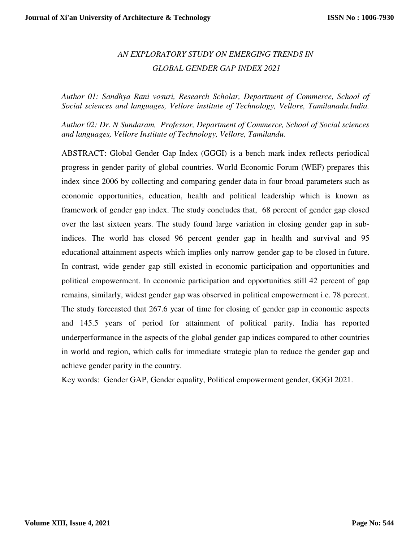# *AN EXPLORATORY STUDY ON EMERGING TRENDS IN GLOBAL GENDER GAP INDEX 2021*

*Author 01: Sandhya Rani vosuri, Research Scholar, Department of Commerce, School of Social sciences and languages, Vellore institute of Technology, Vellore, Tamilanadu.India.*

*Author 02: Dr. N Sundaram, Professor, Department of Commerce, School of Social sciences and languages, Vellore Institute of Technology, Vellore, Tamilandu.* 

ABSTRACT: Global Gender Gap Index (GGGI) is a bench mark index reflects periodical progress in gender parity of global countries. World Economic Forum (WEF) prepares this index since 2006 by collecting and comparing gender data in four broad parameters such as economic opportunities, education, health and political leadership which is known as framework of gender gap index. The study concludes that, 68 percent of gender gap closed over the last sixteen years. The study found large variation in closing gender gap in subindices. The world has closed 96 percent gender gap in health and survival and 95 educational attainment aspects which implies only narrow gender gap to be closed in future. In contrast, wide gender gap still existed in economic participation and opportunities and political empowerment. In economic participation and opportunities still 42 percent of gap remains, similarly, widest gender gap was observed in political empowerment i.e. 78 percent. The study forecasted that 267.6 year of time for closing of gender gap in economic aspects and 145.5 years of period for attainment of political parity. India has reported underperformance in the aspects of the global gender gap indices compared to other countries in world and region, which calls for immediate strategic plan to reduce the gender gap and achieve gender parity in the country.

Key words: Gender GAP, Gender equality, Political empowerment gender, GGGI 2021.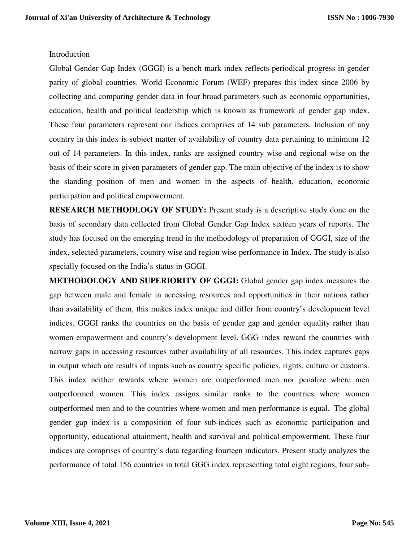### Introduction

Global Gender Gap Index (GGGI) is a bench mark index reflects periodical progress in gender parity of global countries. World Economic Forum (WEF) prepares this index since 2006 by collecting and comparing gender data in four broad parameters such as economic opportunities, education, health and political leadership which is known as framework of gender gap index. These four parameters represent our indices comprises of 14 sub parameters. Inclusion of any country in this index is subject matter of availability of country data pertaining to minimum 12 out of 14 parameters. In this index, ranks are assigned country wise and regional wise on the basis of their score in given parameters of gender gap. The main objective of the index is to show the standing position of men and women in the aspects of health, education, economic participation and political empowerment.

**RESEARCH METHODLOGY OF STUDY:** Present study is a descriptive study done on the basis of secondary data collected from Global Gender Gap Index sixteen years of reports. The study has focused on the emerging trend in the methodology of preparation of GGGI, size of the index, selected parameters, country wise and region wise performance in Index. The study is also specially focused on the India's status in GGGI.

**METHODOLOGY AND SUPERIORITY OF GGGI:** Global gender gap index measures the gap between male and female in accessing resources and opportunities in their nations rather than availability of them, this makes index unique and differ from country's development level indices. GGGI ranks the countries on the basis of gender gap and gender equality rather than women empowerment and country's development level. GGG index reward the countries with narrow gaps in accessing resources rather availability of all resources. This index captures gaps in output which are results of inputs such as country specific policies, rights, culture or customs. This index neither rewards where women are outperformed men nor penalize where men outperformed women. This index assigns similar ranks to the countries where women outperformed men and to the countries where women and men performance is equal. The global gender gap index is a composition of four sub-indices such as economic participation and opportunity, educational attainment, health and survival and political empowerment. These four indices are comprises of country's data regarding fourteen indicators. Present study analyzes the performance of total 156 countries in total GGG index representing total eight regions, four sub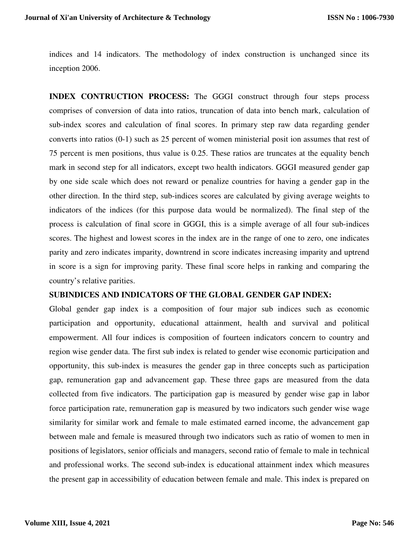indices and 14 indicators. The methodology of index construction is unchanged since its inception 2006.

**INDEX CONTRUCTION PROCESS:** The GGGI construct through four steps process comprises of conversion of data into ratios, truncation of data into bench mark, calculation of sub-index scores and calculation of final scores. In primary step raw data regarding gender converts into ratios (0-1) such as 25 percent of women ministerial posit ion assumes that rest of 75 percent is men positions, thus value is 0.25. These ratios are truncates at the equality bench mark in second step for all indicators, except two health indicators. GGGI measured gender gap by one side scale which does not reward or penalize countries for having a gender gap in the other direction. In the third step, sub-indices scores are calculated by giving average weights to indicators of the indices (for this purpose data would be normalized). The final step of the process is calculation of final score in GGGI, this is a simple average of all four sub-indices scores. The highest and lowest scores in the index are in the range of one to zero, one indicates parity and zero indicates imparity, downtrend in score indicates increasing imparity and uptrend in score is a sign for improving parity. These final score helps in ranking and comparing the country's relative parities.

#### **SUBINDICES AND INDICATORS OF THE GLOBAL GENDER GAP INDEX:**

Global gender gap index is a composition of four major sub indices such as economic participation and opportunity, educational attainment, health and survival and political empowerment. All four indices is composition of fourteen indicators concern to country and region wise gender data. The first sub index is related to gender wise economic participation and opportunity, this sub-index is measures the gender gap in three concepts such as participation gap, remuneration gap and advancement gap. These three gaps are measured from the data collected from five indicators. The participation gap is measured by gender wise gap in labor force participation rate, remuneration gap is measured by two indicators such gender wise wage similarity for similar work and female to male estimated earned income, the advancement gap between male and female is measured through two indicators such as ratio of women to men in positions of legislators, senior officials and managers, second ratio of female to male in technical and professional works. The second sub-index is educational attainment index which measures the present gap in accessibility of education between female and male. This index is prepared on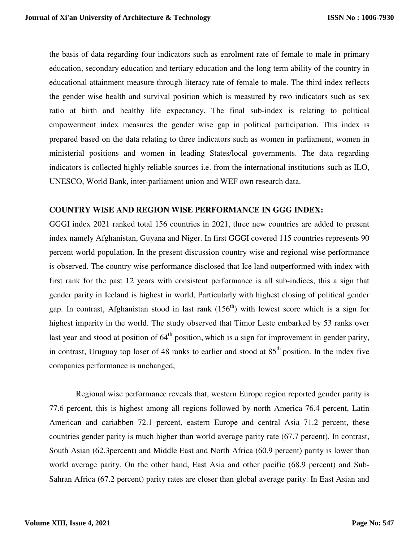the basis of data regarding four indicators such as enrolment rate of female to male in primary education, secondary education and tertiary education and the long term ability of the country in educational attainment measure through literacy rate of female to male. The third index reflects the gender wise health and survival position which is measured by two indicators such as sex ratio at birth and healthy life expectancy. The final sub-index is relating to political empowerment index measures the gender wise gap in political participation. This index is prepared based on the data relating to three indicators such as women in parliament, women in ministerial positions and women in leading States/local governments. The data regarding indicators is collected highly reliable sources i.e. from the international institutions such as ILO, UNESCO, World Bank, inter-parliament union and WEF own research data.

#### **COUNTRY WISE AND REGION WISE PERFORMANCE IN GGG INDEX:**

GGGI index 2021 ranked total 156 countries in 2021, three new countries are added to present index namely Afghanistan, Guyana and Niger. In first GGGI covered 115 countries represents 90 percent world population. In the present discussion country wise and regional wise performance is observed. The country wise performance disclosed that Ice land outperformed with index with first rank for the past 12 years with consistent performance is all sub-indices, this a sign that gender parity in Iceland is highest in world, Particularly with highest closing of political gender gap. In contrast, Afghanistan stood in last rank  $(156<sup>th</sup>)$  with lowest score which is a sign for highest imparity in the world. The study observed that Timor Leste embarked by 53 ranks over last year and stood at position of  $64<sup>th</sup>$  position, which is a sign for improvement in gender parity, in contrast, Uruguay top loser of 48 ranks to earlier and stood at  $85<sup>th</sup>$  position. In the index five companies performance is unchanged,

 Regional wise performance reveals that, western Europe region reported gender parity is 77.6 percent, this is highest among all regions followed by north America 76.4 percent, Latin American and cariabben 72.1 percent, eastern Europe and central Asia 71.2 percent, these countries gender parity is much higher than world average parity rate (67.7 percent). In contrast, South Asian (62.3percent) and Middle East and North Africa (60.9 percent) parity is lower than world average parity. On the other hand, East Asia and other pacific (68.9 percent) and Sub-Sahran Africa (67.2 percent) parity rates are closer than global average parity. In East Asian and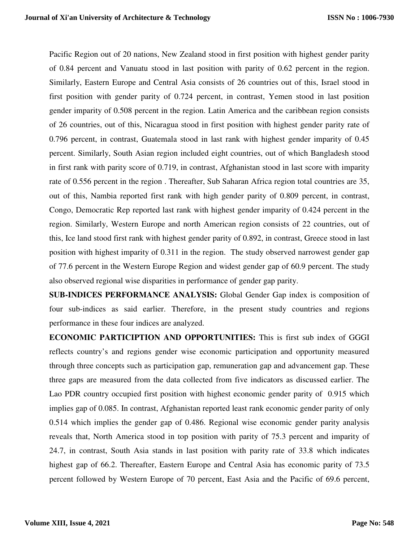Pacific Region out of 20 nations, New Zealand stood in first position with highest gender parity of 0.84 percent and Vanuatu stood in last position with parity of 0.62 percent in the region. Similarly, Eastern Europe and Central Asia consists of 26 countries out of this, Israel stood in first position with gender parity of 0.724 percent, in contrast, Yemen stood in last position gender imparity of 0.508 percent in the region. Latin America and the caribbean region consists of 26 countries, out of this, Nicaragua stood in first position with highest gender parity rate of 0.796 percent, in contrast, Guatemala stood in last rank with highest gender imparity of 0.45 percent. Similarly, South Asian region included eight countries, out of which Bangladesh stood in first rank with parity score of 0.719, in contrast, Afghanistan stood in last score with imparity rate of 0.556 percent in the region . Thereafter, Sub Saharan Africa region total countries are 35, out of this, Nambia reported first rank with high gender parity of 0.809 percent, in contrast, Congo, Democratic Rep reported last rank with highest gender imparity of 0.424 percent in the region. Similarly, Western Europe and north American region consists of 22 countries, out of this, Ice land stood first rank with highest gender parity of 0.892, in contrast, Greece stood in last position with highest imparity of 0.311 in the region. The study observed narrowest gender gap of 77.6 percent in the Western Europe Region and widest gender gap of 60.9 percent. The study also observed regional wise disparities in performance of gender gap parity.

**SUB-INDICES PERFORMANCE ANALYSIS:** Global Gender Gap index is composition of four sub-indices as said earlier. Therefore, in the present study countries and regions performance in these four indices are analyzed.

**ECONOMIC PARTICIPTION AND OPPORTUNITIES:** This is first sub index of GGGI reflects country's and regions gender wise economic participation and opportunity measured through three concepts such as participation gap, remuneration gap and advancement gap. These three gaps are measured from the data collected from five indicators as discussed earlier. The Lao PDR country occupied first position with highest economic gender parity of 0.915 which implies gap of 0.085. In contrast, Afghanistan reported least rank economic gender parity of only 0.514 which implies the gender gap of 0.486. Regional wise economic gender parity analysis reveals that, North America stood in top position with parity of 75.3 percent and imparity of 24.7, in contrast, South Asia stands in last position with parity rate of 33.8 which indicates highest gap of 66.2. Thereafter, Eastern Europe and Central Asia has economic parity of 73.5 percent followed by Western Europe of 70 percent, East Asia and the Pacific of 69.6 percent,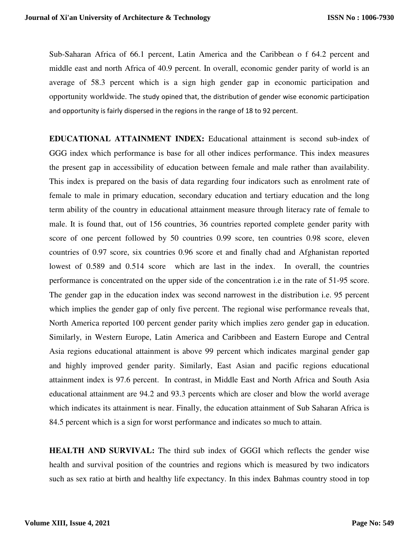Sub-Saharan Africa of 66.1 percent, Latin America and the Caribbean o f 64.2 percent and middle east and north Africa of 40.9 percent. In overall, economic gender parity of world is an average of 58.3 percent which is a sign high gender gap in economic participation and opportunity worldwide. The study opined that, the distribution of gender wise economic participation and opportunity is fairly dispersed in the regions in the range of 18 to 92 percent.

**EDUCATIONAL ATTAINMENT INDEX:** Educational attainment is second sub-index of GGG index which performance is base for all other indices performance. This index measures the present gap in accessibility of education between female and male rather than availability. This index is prepared on the basis of data regarding four indicators such as enrolment rate of female to male in primary education, secondary education and tertiary education and the long term ability of the country in educational attainment measure through literacy rate of female to male. It is found that, out of 156 countries, 36 countries reported complete gender parity with score of one percent followed by 50 countries 0.99 score, ten countries 0.98 score, eleven countries of 0.97 score, six countries 0.96 score et and finally chad and Afghanistan reported lowest of 0.589 and 0.514 score which are last in the index. In overall, the countries performance is concentrated on the upper side of the concentration i.e in the rate of 51-95 score. The gender gap in the education index was second narrowest in the distribution i.e. 95 percent which implies the gender gap of only five percent. The regional wise performance reveals that, North America reported 100 percent gender parity which implies zero gender gap in education. Similarly, in Western Europe, Latin America and Caribbeen and Eastern Europe and Central Asia regions educational attainment is above 99 percent which indicates marginal gender gap and highly improved gender parity. Similarly, East Asian and pacific regions educational attainment index is 97.6 percent. In contrast, in Middle East and North Africa and South Asia educational attainment are 94.2 and 93.3 percents which are closer and blow the world average which indicates its attainment is near. Finally, the education attainment of Sub Saharan Africa is 84.5 percent which is a sign for worst performance and indicates so much to attain.

**HEALTH AND SURVIVAL:** The third sub index of GGGI which reflects the gender wise health and survival position of the countries and regions which is measured by two indicators such as sex ratio at birth and healthy life expectancy. In this index Bahmas country stood in top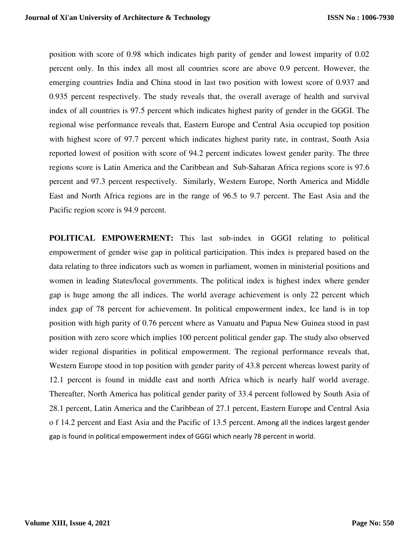position with score of 0.98 which indicates high parity of gender and lowest imparity of 0.02 percent only. In this index all most all countries score are above 0.9 percent. However, the emerging countries India and China stood in last two position with lowest score of 0.937 and 0.935 percent respectively. The study reveals that, the overall average of health and survival index of all countries is 97.5 percent which indicates highest parity of gender in the GGGI. The regional wise performance reveals that, Eastern Europe and Central Asia occupied top position with highest score of 97.7 percent which indicates highest parity rate, in contrast, South Asia reported lowest of position with score of 94.2 percent indicates lowest gender parity. The three regions score is Latin America and the Caribbean and Sub-Saharan Africa regions score is 97.6 percent and 97.3 percent respectively. Similarly, Western Europe, North America and Middle East and North Africa regions are in the range of 96.5 to 9.7 percent. The East Asia and the Pacific region score is 94.9 percent.

**POLITICAL EMPOWERMENT:** This last sub-index in GGGI relating to political empowerment of gender wise gap in political participation. This index is prepared based on the data relating to three indicators such as women in parliament, women in ministerial positions and women in leading States/local governments. The political index is highest index where gender gap is huge among the all indices. The world average achievement is only 22 percent which index gap of 78 percent for achievement. In political empowerment index, Ice land is in top position with high parity of 0.76 percent where as Vanuatu and Papua New Guinea stood in past position with zero score which implies 100 percent political gender gap. The study also observed wider regional disparities in political empowerment. The regional performance reveals that, Western Europe stood in top position with gender parity of 43.8 percent whereas lowest parity of 12.1 percent is found in middle east and north Africa which is nearly half world average. Thereafter, North America has political gender parity of 33.4 percent followed by South Asia of 28.1 percent, Latin America and the Caribbean of 27.1 percent, Eastern Europe and Central Asia o f 14.2 percent and East Asia and the Pacific of 13.5 percent. Among all the indices largest gender gap is found in political empowerment index of GGGI which nearly 78 percent in world.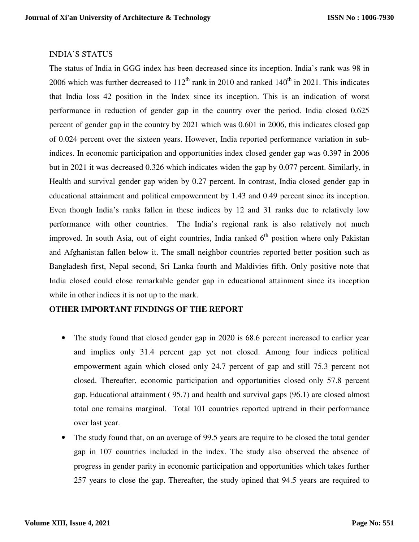### INDIA'S STATUS

The status of India in GGG index has been decreased since its inception. India's rank was 98 in 2006 which was further decreased to  $112^{th}$  rank in 2010 and ranked  $140^{th}$  in 2021. This indicates that India loss 42 position in the Index since its inception. This is an indication of worst performance in reduction of gender gap in the country over the period. India closed 0.625 percent of gender gap in the country by 2021 which was 0.601 in 2006, this indicates closed gap of 0.024 percent over the sixteen years. However, India reported performance variation in subindices. In economic participation and opportunities index closed gender gap was 0.397 in 2006 but in 2021 it was decreased 0.326 which indicates widen the gap by 0.077 percent. Similarly, in Health and survival gender gap widen by 0.27 percent. In contrast, India closed gender gap in educational attainment and political empowerment by 1.43 and 0.49 percent since its inception. Even though India's ranks fallen in these indices by 12 and 31 ranks due to relatively low performance with other countries. The India's regional rank is also relatively not much improved. In south Asia, out of eight countries, India ranked  $6<sup>th</sup>$  position where only Pakistan and Afghanistan fallen below it. The small neighbor countries reported better position such as Bangladesh first, Nepal second, Sri Lanka fourth and Maldivies fifth. Only positive note that India closed could close remarkable gender gap in educational attainment since its inception while in other indices it is not up to the mark.

### **OTHER IMPORTANT FINDINGS OF THE REPORT**

- The study found that closed gender gap in 2020 is 68.6 percent increased to earlier year and implies only 31.4 percent gap yet not closed. Among four indices political empowerment again which closed only 24.7 percent of gap and still 75.3 percent not closed. Thereafter, economic participation and opportunities closed only 57.8 percent gap. Educational attainment ( 95.7) and health and survival gaps (96.1) are closed almost total one remains marginal. Total 101 countries reported uptrend in their performance over last year.
- The study found that, on an average of 99.5 years are require to be closed the total gender gap in 107 countries included in the index. The study also observed the absence of progress in gender parity in economic participation and opportunities which takes further 257 years to close the gap. Thereafter, the study opined that 94.5 years are required to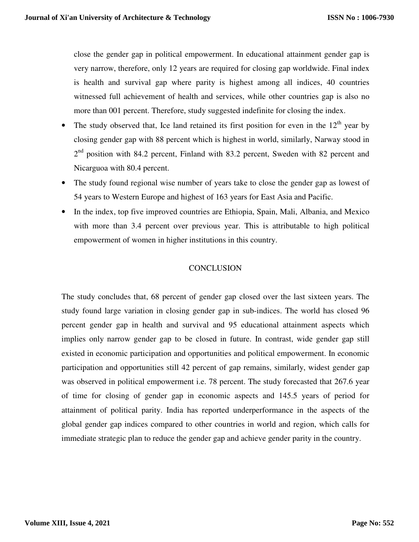close the gender gap in political empowerment. In educational attainment gender gap is very narrow, therefore, only 12 years are required for closing gap worldwide. Final index is health and survival gap where parity is highest among all indices, 40 countries witnessed full achievement of health and services, while other countries gap is also no more than 001 percent. Therefore, study suggested indefinite for closing the index.

- The study observed that, Ice land retained its first position for even in the  $12<sup>th</sup>$  year by closing gender gap with 88 percent which is highest in world, similarly, Narway stood in 2<sup>nd</sup> position with 84.2 percent, Finland with 83.2 percent, Sweden with 82 percent and Nicarguoa with 80.4 percent.
- The study found regional wise number of years take to close the gender gap as lowest of 54 years to Western Europe and highest of 163 years for East Asia and Pacific.
- In the index, top five improved countries are Ethiopia, Spain, Mali, Albania, and Mexico with more than 3.4 percent over previous year. This is attributable to high political empowerment of women in higher institutions in this country.

# **CONCLUSION**

The study concludes that, 68 percent of gender gap closed over the last sixteen years. The study found large variation in closing gender gap in sub-indices. The world has closed 96 percent gender gap in health and survival and 95 educational attainment aspects which implies only narrow gender gap to be closed in future. In contrast, wide gender gap still existed in economic participation and opportunities and political empowerment. In economic participation and opportunities still 42 percent of gap remains, similarly, widest gender gap was observed in political empowerment i.e. 78 percent. The study forecasted that 267.6 year of time for closing of gender gap in economic aspects and 145.5 years of period for attainment of political parity. India has reported underperformance in the aspects of the global gender gap indices compared to other countries in world and region, which calls for immediate strategic plan to reduce the gender gap and achieve gender parity in the country.